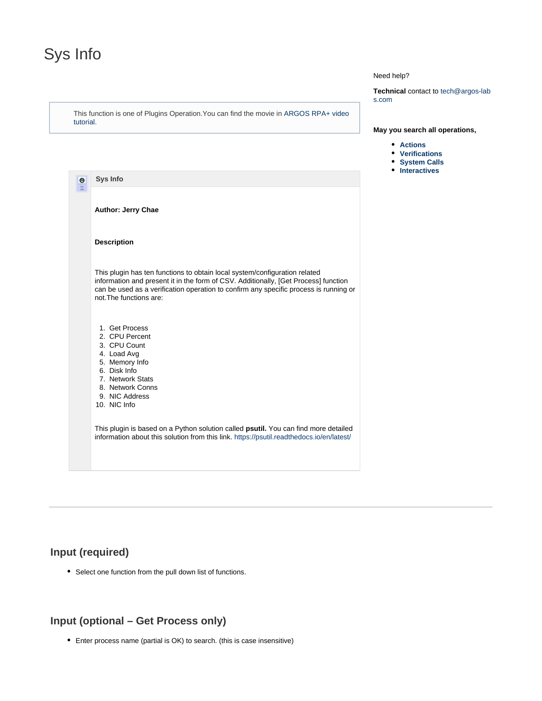# <span id="page-0-0"></span>Sys Info

This function is one of Plugins Operation.You can find the movie in [ARGOS RPA+ video](https://www.argos-labs.com/video-tutorial/) [tutorial](https://www.argos-labs.com/video-tutorial/).

### Need help?

**Technical** contact to tech@argos-lab s.com

#### **May you search all operations,**

- **[Actions](https://wiki.argos-labs.com/display/RPARELNOTE/Actions)**
- **[Verifications](https://wiki.argos-labs.com/display/RPARELNOTE/Verifications)**
- **•** [System Calls](https://wiki.argos-labs.com/display/RPARELNOTE/System+Calls)
- **•** [Interactives](https://wiki.argos-labs.com/display/RPARELNOTE/Interactives)

| $\bullet$<br>$\frac{S_{\gamma S}}{ln fo}$ | <b>Sys Info</b>                                                                                                                                                                                                                                                                      |
|-------------------------------------------|--------------------------------------------------------------------------------------------------------------------------------------------------------------------------------------------------------------------------------------------------------------------------------------|
|                                           | <b>Author: Jerry Chae</b>                                                                                                                                                                                                                                                            |
|                                           | <b>Description</b>                                                                                                                                                                                                                                                                   |
|                                           | This plugin has ten functions to obtain local system/configuration related<br>information and present it in the form of CSV. Additionally, [Get Process] function<br>can be used as a verification operation to confirm any specific process is running or<br>not The functions are: |
|                                           | 1. Get Process<br>2. CPU Percent<br>3. CPU Count<br>4. Load Avg<br>5. Memory Info<br>6. Disk Info<br>7. Network Stats<br>8. Network Conns<br>9. NIC Address<br>10. NIC Info                                                                                                          |
|                                           | This plugin is based on a Python solution called <b>psutil</b> . You can find more detailed<br>information about this solution from this link. https://psutil.readthedocs.io/en/latest/                                                                                              |

# **Input (required)**

Select one function from the pull down list of functions.

# **Input (optional – Get Process only)**

Enter process name (partial is OK) to search. (this is case insensitive)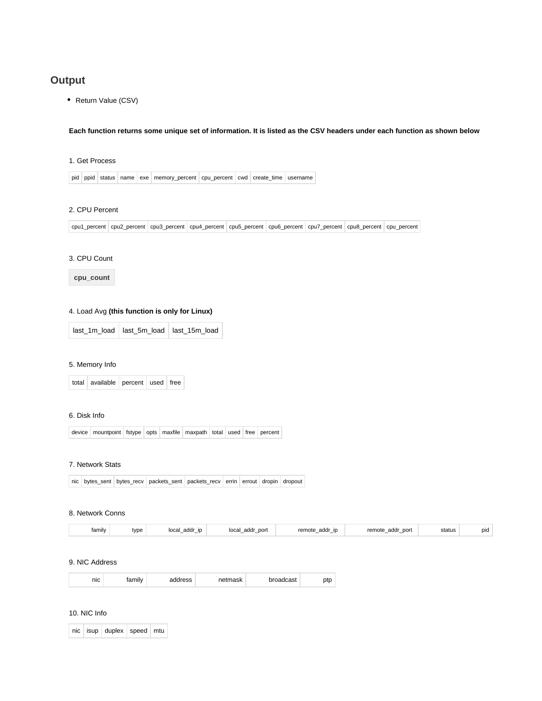# **Output**

• Return Value (CSV)

#### **Each function returns some unique set of information. It is listed as the CSV headers under each function as shown below**

### 1. Get Process

pid ppid status name exe memory\_percent cpu\_percent cwd create\_time username

# 2. CPU Percent

| cpu1 percent   cpu2 percent   cpu3 percent   cpu4 percent   cpu5 percent   cpu6 percent   cpu7 percent   cpu8 percent   cpu percent |  |
|-------------------------------------------------------------------------------------------------------------------------------------|--|
|                                                                                                                                     |  |

# 3. CPU Count

**cpu\_count**

# 4. Load Avg **(this function is only for Linux)**

#### 5. Memory Info

total available percent used free

#### 6. Disk Info

device mountpoint fstype opts maxfile maxpath total used free percent

#### 7. Network Stats

|  |  |  |  | nic bytes_sent bytes_recv packets_sent packets_recv errin errout dropin dropout |  |  |  |  |
|--|--|--|--|---------------------------------------------------------------------------------|--|--|--|--|
|--|--|--|--|---------------------------------------------------------------------------------|--|--|--|--|

#### 8. Network Conns

| $\cdots$<br>family | type | nogli<br>oddr<br>$\sim$<br>auui<br>.uudi<br>.<br>_ | port<br>oddr<br>loca<br>аил<br>$-$ | remote<br>addr<br><b>i</b> D<br>$-$ | remote<br>port<br>addr<br>_ | status<br>. | DIC |
|--------------------|------|----------------------------------------------------|------------------------------------|-------------------------------------|-----------------------------|-------------|-----|
|--------------------|------|----------------------------------------------------|------------------------------------|-------------------------------------|-----------------------------|-------------|-----|

#### 9. NIC Address

| nıc | ʻamilv | tress | าetmask | adcast<br>זו | ww |
|-----|--------|-------|---------|--------------|----|
|-----|--------|-------|---------|--------------|----|

### 10. NIC Info

|  | nic isup duplex speed mtu |  |
|--|---------------------------|--|
|  |                           |  |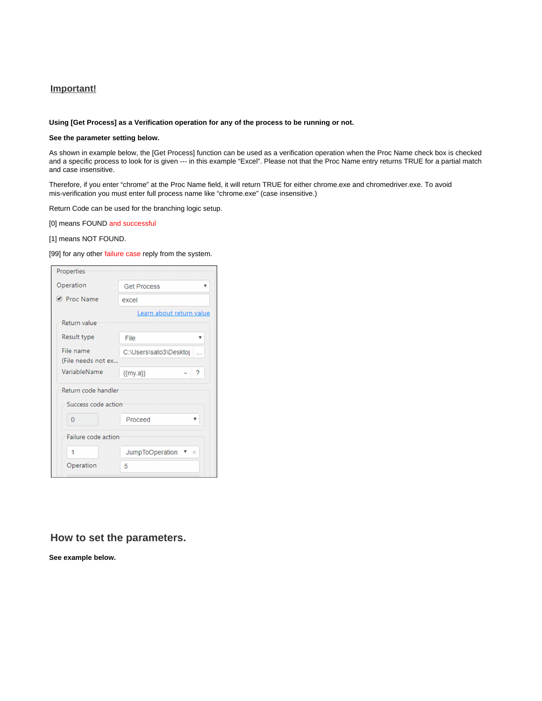# **Important!**

#### **Using [Get Process] as a Verification operation for any of the process to be running or not.**

#### **See the parameter setting below.**

As shown in example below, the [Get Process] function can be used as a verification operation when the Proc Name check box is checked and a specific process to look for is given --- in this example "Excel". Please not that the Proc Name entry returns TRUE for a partial match and case insensitive.

Therefore, if you enter "chrome" at the Proc Name field, it will return TRUE for either chrome.exe and chromedriver.exe. To avoid mis-verification you must enter full process name like "chrome.exe" (case insensitive.)

Return Code can be used for the branching logic setup.

[0] means FOUND and successful

[1] means NOT FOUND.

#### [99] for any other failure case reply from the system.

| Properties          |                                             |
|---------------------|---------------------------------------------|
| Operation           | <b>Get Process</b><br>▼                     |
| <i>E</i> Proc Name  | excel                                       |
|                     | Learn about return value                    |
| Return value        |                                             |
| Result type         | File                                        |
| File name           | C:\Users\sato3\Deskto                       |
| (File needs not ex  |                                             |
| VariableName        | 7<br>${my.a}$                               |
| Return code handler |                                             |
| Success code action |                                             |
| 0                   | Proceed                                     |
| Failure code action |                                             |
|                     | <b>JumpToOperation</b><br>$\mathbf{\times}$ |
| Operation           | 5                                           |

# **How to set the parameters.**

**See example below.**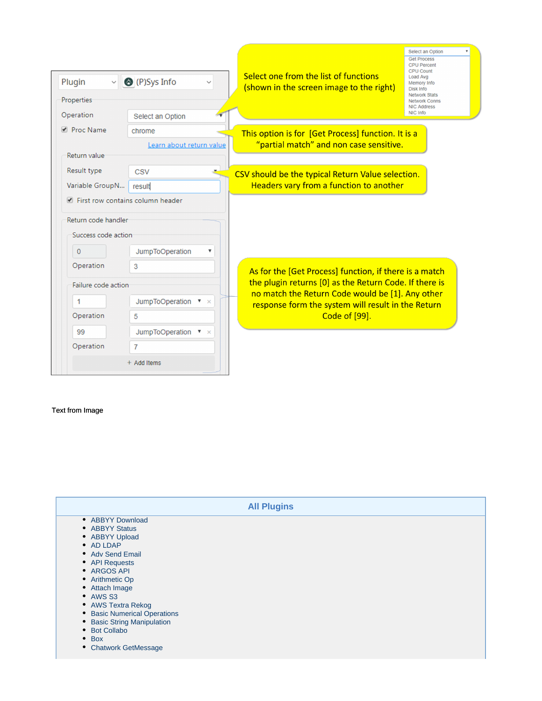| Plugin<br>$\vee$<br>Properties                                                                                                                                         | <sup>O</sup> (P)Sys Info                                                                                                        | Select one from the list of functions<br>(shown in the screen image to the right)                                                                                                                                                           | Select an Option<br><b>Get Process</b><br><b>CPU Percent</b><br><b>CPU Count</b><br>Load Avg<br>Memory Info<br><b>Disk Info</b><br><b>Network Stats</b><br><b>Network Conns</b><br><b>NIC Address</b> |
|------------------------------------------------------------------------------------------------------------------------------------------------------------------------|---------------------------------------------------------------------------------------------------------------------------------|---------------------------------------------------------------------------------------------------------------------------------------------------------------------------------------------------------------------------------------------|-------------------------------------------------------------------------------------------------------------------------------------------------------------------------------------------------------|
| Operation<br>Proc Name                                                                                                                                                 | Select an Option<br>chrome                                                                                                      |                                                                                                                                                                                                                                             | NIC Info                                                                                                                                                                                              |
| Return value                                                                                                                                                           | Learn about return value                                                                                                        | This option is for [Get Process] function. It is a<br>"partial match" and non case sensitive.                                                                                                                                               |                                                                                                                                                                                                       |
| Result type<br>Variable GroupN                                                                                                                                         | <b>CSV</b><br>result                                                                                                            | CSV should be the typical Return Value selection.<br>Headers vary from a function to another                                                                                                                                                |                                                                                                                                                                                                       |
| Eirst row contains column header<br>Return code handler<br>Success code action<br>$\mathbf 0$<br>Operation<br>Failure code action<br>1<br>Operation<br>99<br>Operation | <b>JumpToOperation</b><br>3<br>JumpToOperation $\mathbf{v} \times$<br>5<br>JumpToOperation $\bullet \times$<br>7<br>+ Add Items | As for the [Get Process] function, if there is a match<br>the plugin returns [0] as the Return Code. If there is<br>no match the Return Code would be [1]. Any other<br>response form the system will result in the Return<br>Code of [99]. |                                                                                                                                                                                                       |

# Text from Image

|                                                                                                                                                                                                                                                                                                                         | <b>All Plugins</b> |  |
|-------------------------------------------------------------------------------------------------------------------------------------------------------------------------------------------------------------------------------------------------------------------------------------------------------------------------|--------------------|--|
| • ABBYY Download<br>• ABBYY Status<br>• ABBYY Upload<br>• AD LDAP<br>• Adv Send Email<br>• API Requests<br>• ARGOS API<br>• Arithmetic Op<br>• Attach Image<br>• AWS S3<br>• AWS Textra Rekog<br>• Basic Numerical Operations<br>• Basic String Manipulation<br>• Bot Collabo<br>$\bullet$ Box<br>• Chatwork GetMessage |                    |  |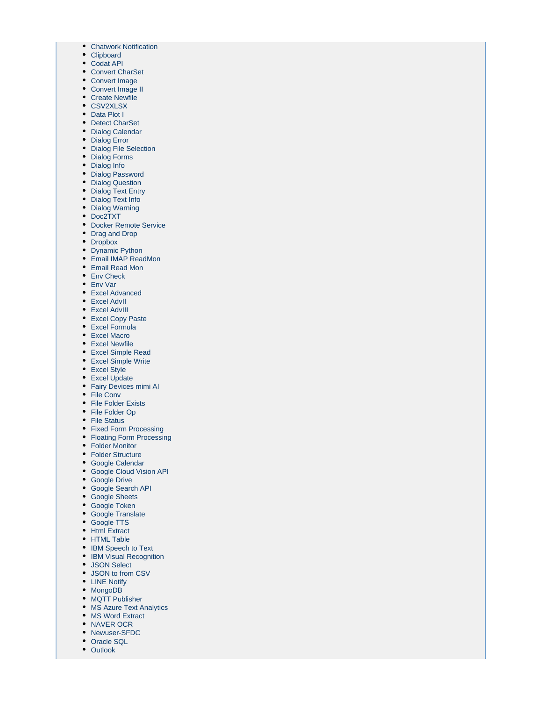- [Chatwork Notification](https://wiki.argos-labs.com/display/RPARELNOTE/Chatwork+Notification)
- [Clipboard](https://wiki.argos-labs.com/display/RPARELNOTE/Clipboard)
- [Codat API](https://wiki.argos-labs.com/display/RPARELNOTE/Codat+API)
- [Convert CharSet](https://wiki.argos-labs.com/display/RPARELNOTE/Convert+CharSet)
- [Convert Image](https://wiki.argos-labs.com/display/RPARELNOTE/Convert+Image)
- [Convert Image II](https://wiki.argos-labs.com/display/RPARELNOTE/Convert+Image+II) • [Create Newfile](https://wiki.argos-labs.com/display/RPARELNOTE/Create+Newfile)
- [CSV2XLSX](https://wiki.argos-labs.com/display/RPARELNOTE/CSV2XLSX)
- [Data Plot I](https://wiki.argos-labs.com/display/RPARELNOTE/Data+Plot+I)
- [Detect CharSet](https://wiki.argos-labs.com/display/RPARELNOTE/Detect+CharSet)
- [Dialog Calendar](https://wiki.argos-labs.com/display/RPARELNOTE/Dialog+Calendar)
- [Dialog Error](https://wiki.argos-labs.com/display/RPARELNOTE/Dialog+Error)
- [Dialog File Selection](https://wiki.argos-labs.com/display/RPARELNOTE/Dialog+File+Selection)
- [Dialog Forms](https://wiki.argos-labs.com/display/RPARELNOTE/Dialog+Forms)
- [Dialog Info](https://wiki.argos-labs.com/display/RPARELNOTE/Dialog+Info)
- [Dialog Password](https://wiki.argos-labs.com/display/RPARELNOTE/Dialog+Password)
- [Dialog Question](https://wiki.argos-labs.com/display/RPARELNOTE/Dialog+Question)
- [Dialog Text Entry](https://wiki.argos-labs.com/display/RPARELNOTE/Dialog+Text+Entry)
- [Dialog Text Info](https://wiki.argos-labs.com/display/RPARELNOTE/Dialog+Text+Info)
- [Dialog Warning](https://wiki.argos-labs.com/display/RPARELNOTE/Dialog+Warning)
- [Doc2TXT](https://wiki.argos-labs.com/display/RPARELNOTE/Doc2TXT)
- [Docker Remote Service](https://wiki.argos-labs.com/display/RPARELNOTE/Docker+Remote+Service)
- [Drag and Drop](https://wiki.argos-labs.com/display/RPARELNOTE/Drag+and+Drop)
- [Dropbox](https://wiki.argos-labs.com/display/RPARELNOTE/Dropbox)
- [Dynamic Python](https://wiki.argos-labs.com/display/RPARELNOTE/Dynamic+Python)
- [Email IMAP ReadMon](https://wiki.argos-labs.com/display/RPARELNOTE/Email+IMAP+ReadMon)
- [Email Read Mon](https://wiki.argos-labs.com/display/RPARELNOTE/Email+Read+Mon)
- [Env Check](https://wiki.argos-labs.com/display/RPARELNOTE/Env+Check)
- [Env Var](https://wiki.argos-labs.com/display/RPARELNOTE/Env+Var)
- [Excel Advanced](https://wiki.argos-labs.com/display/RPARELNOTE/Excel+Advanced)
- [Excel AdvII](https://wiki.argos-labs.com/display/RPARELNOTE/Excel+AdvII)
- [Excel AdvIII](https://wiki.argos-labs.com/display/RPARELNOTE/Excel+AdvIII)
- [Excel Copy Paste](https://wiki.argos-labs.com/display/RPARELNOTE/Excel+Copy+Paste)
- [Excel Formula](https://wiki.argos-labs.com/display/RPARELNOTE/Excel+Formula) [Excel Macro](https://wiki.argos-labs.com/display/RPARELNOTE/Excel+Macro)
- [Excel Newfile](https://wiki.argos-labs.com/display/RPARELNOTE/Excel+Newfile)
- [Excel Simple Read](https://wiki.argos-labs.com/display/RPARELNOTE/Excel+Simple+Read)
- [Excel Simple Write](https://wiki.argos-labs.com/display/RPARELNOTE/Excel+Simple+Write)
- [Excel Style](https://wiki.argos-labs.com/display/RPARELNOTE/Excel+Style)
- [Excel Update](https://wiki.argos-labs.com/display/RPARELNOTE/Excel+Update)
- [Fairy Devices mimi AI](https://wiki.argos-labs.com/display/RPARELNOTE/Fairy+Devices+mimi+AI)
- [File Conv](https://wiki.argos-labs.com/display/RPARELNOTE/File+Conv)
- [File Folder Exists](https://wiki.argos-labs.com/display/RPARELNOTE/File+Folder+Exists)
- [File Folder Op](https://wiki.argos-labs.com/display/RPARELNOTE/File+Folder+Op)
- [File Status](https://wiki.argos-labs.com/display/RPARELNOTE/File+Status)
- [Fixed Form Processing](https://wiki.argos-labs.com/display/RPARELNOTE/Fixed+Form+Processing)
- [Floating Form Processing](https://wiki.argos-labs.com/display/RPARELNOTE/Floating+Form+Processing)
- [Folder Monitor](https://wiki.argos-labs.com/display/RPARELNOTE/Folder+Monitor)
- [Folder Structure](https://wiki.argos-labs.com/display/RPARELNOTE/Folder+Structure)
- [Google Calendar](https://wiki.argos-labs.com/display/RPARELNOTE/Google+Calendar)
- [Google Cloud Vision API](https://wiki.argos-labs.com/display/RPARELNOTE/Google+Cloud+Vision+API)
- [Google Drive](https://wiki.argos-labs.com/display/RPARELNOTE/Google+Drive)
- [Google Search API](https://wiki.argos-labs.com/display/RPARELNOTE/Google+Search+API)
- [Google Sheets](https://wiki.argos-labs.com/display/RPARELNOTE/Google+Sheets)
- [Google Token](https://wiki.argos-labs.com/display/RPARELNOTE/Google+Token)
- [Google Translate](https://wiki.argos-labs.com/display/RPARELNOTE/Google+Translate)
- [Google TTS](https://wiki.argos-labs.com/display/RPARELNOTE/Google+TTS)
- [Html Extract](https://wiki.argos-labs.com/display/RPARELNOTE/Html+Extract)
- [HTML Table](https://wiki.argos-labs.com/display/RPARELNOTE/HTML+Table)
- [IBM Speech to Text](https://wiki.argos-labs.com/display/RPARELNOTE/IBM+Speech+to+Text)
- [IBM Visual Recognition](https://wiki.argos-labs.com/display/RPARELNOTE/IBM+Visual+Recognition)
- [JSON Select](https://wiki.argos-labs.com/display/RPARELNOTE/JSON+Select)
- [JSON to from CSV](https://wiki.argos-labs.com/display/RPARELNOTE/JSON+to+from+CSV)
- [LINE Notify](https://wiki.argos-labs.com/display/RPARELNOTE/LINE+Notify)
- [MongoDB](https://wiki.argos-labs.com/display/RPARELNOTE/MongoDB)
- [MQTT Publisher](https://wiki.argos-labs.com/display/RPARELNOTE/MQTT+Publisher)
- [MS Azure Text Analytics](https://wiki.argos-labs.com/display/RPARELNOTE/MS+Azure+Text+Analytics)
- [MS Word Extract](https://wiki.argos-labs.com/display/RPARELNOTE/MS+Word+Extract)
- [NAVER OCR](https://wiki.argos-labs.com/display/RPARELNOTE/NAVER+OCR)
- [Newuser-SFDC](https://wiki.argos-labs.com/display/RPARELNOTE/Newuser-SFDC)
- [Oracle SQL](https://wiki.argos-labs.com/display/RPARELNOTE/Oracle+SQL)
- [Outlook](https://wiki.argos-labs.com/display/RPARELNOTE/Outlook)